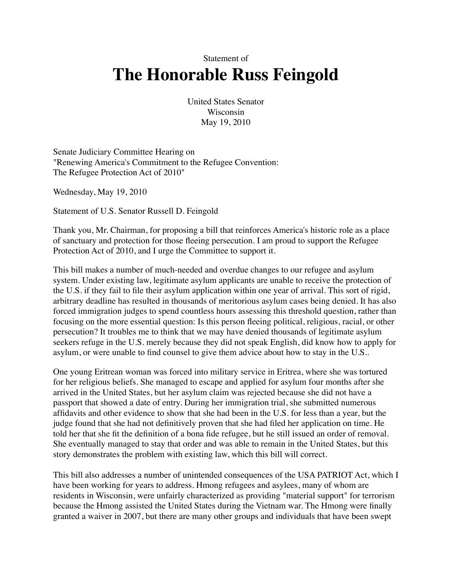Statement of

## **The Honorable Russ Feingold**

United States Senator Wisconsin May 19, 2010

Senate Judiciary Committee Hearing on "Renewing America's Commitment to the Refugee Convention: The Refugee Protection Act of 2010"

Wednesday, May 19, 2010

Statement of U.S. Senator Russell D. Feingold

Thank you, Mr. Chairman, for proposing a bill that reinforces America's historic role as a place of sanctuary and protection for those fleeing persecution. I am proud to support the Refugee Protection Act of 2010, and I urge the Committee to support it.

This bill makes a number of much-needed and overdue changes to our refugee and asylum system. Under existing law, legitimate asylum applicants are unable to receive the protection of the U.S. if they fail to file their asylum application within one year of arrival. This sort of rigid, arbitrary deadline has resulted in thousands of meritorious asylum cases being denied. It has also forced immigration judges to spend countless hours assessing this threshold question, rather than focusing on the more essential question: Is this person fleeing political, religious, racial, or other persecution? It troubles me to think that we may have denied thousands of legitimate asylum seekers refuge in the U.S. merely because they did not speak English, did know how to apply for asylum, or were unable to find counsel to give them advice about how to stay in the U.S..

One young Eritrean woman was forced into military service in Eritrea, where she was tortured for her religious beliefs. She managed to escape and applied for asylum four months after she arrived in the United States, but her asylum claim was rejected because she did not have a passport that showed a date of entry. During her immigration trial, she submitted numerous affidavits and other evidence to show that she had been in the U.S. for less than a year, but the judge found that she had not definitively proven that she had filed her application on time. He told her that she fit the definition of a bona fide refugee, but he still issued an order of removal. She eventually managed to stay that order and was able to remain in the United States, but this story demonstrates the problem with existing law, which this bill will correct.

This bill also addresses a number of unintended consequences of the USA PATRIOT Act, which I have been working for years to address. Hmong refugees and asylees, many of whom are residents in Wisconsin, were unfairly characterized as providing "material support" for terrorism because the Hmong assisted the United States during the Vietnam war. The Hmong were finally granted a waiver in 2007, but there are many other groups and individuals that have been swept